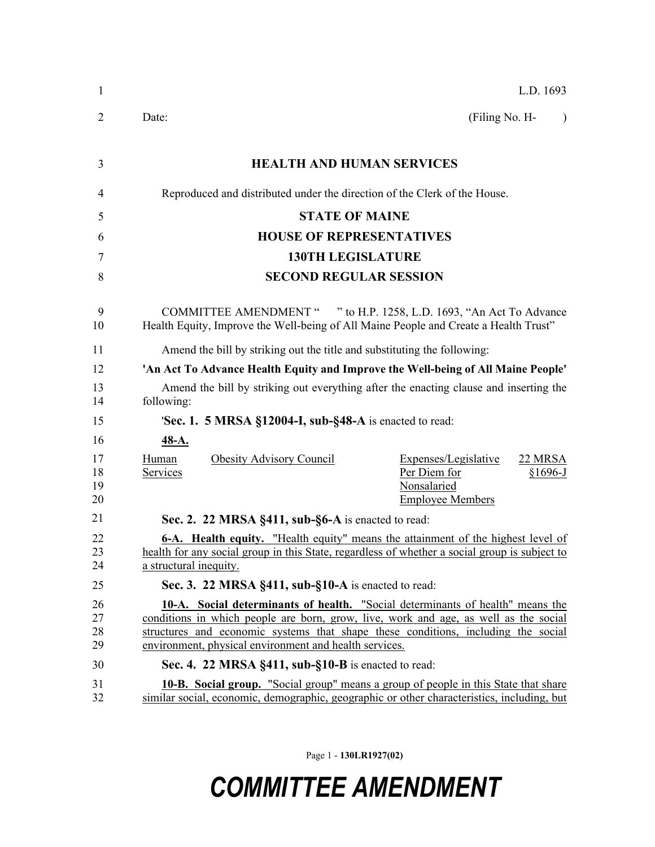| 1                    | L.D. 1693                                                                                                                                                                                                                                                                                                             |  |  |  |
|----------------------|-----------------------------------------------------------------------------------------------------------------------------------------------------------------------------------------------------------------------------------------------------------------------------------------------------------------------|--|--|--|
| 2                    | (Filing No. H-<br>Date:<br>$\lambda$                                                                                                                                                                                                                                                                                  |  |  |  |
| 3                    | <b>HEALTH AND HUMAN SERVICES</b>                                                                                                                                                                                                                                                                                      |  |  |  |
| 4                    | Reproduced and distributed under the direction of the Clerk of the House.                                                                                                                                                                                                                                             |  |  |  |
| 5                    | <b>STATE OF MAINE</b>                                                                                                                                                                                                                                                                                                 |  |  |  |
| 6                    | <b>HOUSE OF REPRESENTATIVES</b>                                                                                                                                                                                                                                                                                       |  |  |  |
| 7                    | <b>130TH LEGISLATURE</b>                                                                                                                                                                                                                                                                                              |  |  |  |
| 8                    | <b>SECOND REGULAR SESSION</b>                                                                                                                                                                                                                                                                                         |  |  |  |
| 9<br>10              | COMMITTEE AMENDMENT " " to H.P. 1258, L.D. 1693, "An Act To Advance<br>Health Equity, Improve the Well-being of All Maine People and Create a Health Trust"                                                                                                                                                           |  |  |  |
| 11                   | Amend the bill by striking out the title and substituting the following:                                                                                                                                                                                                                                              |  |  |  |
| 12                   | 'An Act To Advance Health Equity and Improve the Well-being of All Maine People'                                                                                                                                                                                                                                      |  |  |  |
| 13<br>14             | Amend the bill by striking out everything after the enacting clause and inserting the<br>following:                                                                                                                                                                                                                   |  |  |  |
| 15                   | <b>Sec. 1. 5 MRSA §12004-I, sub-§48-A</b> is enacted to read:                                                                                                                                                                                                                                                         |  |  |  |
| 16                   | $48-A.$                                                                                                                                                                                                                                                                                                               |  |  |  |
| 17<br>18<br>19<br>20 | Human<br><b>Obesity Advisory Council</b><br>Expenses/Legislative<br>22 MRSA<br>Per Diem for<br>Services<br>$§1696-J$<br>Nonsalaried<br><b>Employee Members</b>                                                                                                                                                        |  |  |  |
| 21                   | Sec. 2. 22 MRSA §411, sub-§6-A is enacted to read:                                                                                                                                                                                                                                                                    |  |  |  |
| 22<br>23<br>24       | <b>6-A.</b> Health equity. "Health equity" means the attainment of the highest level of<br>health for any social group in this State, regardless of whether a social group is subject to<br>a structural inequity.                                                                                                    |  |  |  |
| 25                   | Sec. 3. 22 MRSA §411, sub-§10-A is enacted to read:                                                                                                                                                                                                                                                                   |  |  |  |
| 26<br>27<br>28<br>29 | 10-A. Social determinants of health. "Social determinants of health" means the<br>conditions in which people are born, grow, live, work and age, as well as the social<br>structures and economic systems that shape these conditions, including the social<br>environment, physical environment and health services. |  |  |  |
| 30                   | Sec. 4. 22 MRSA §411, sub-§10-B is enacted to read:                                                                                                                                                                                                                                                                   |  |  |  |
| 31<br>32             | 10-B. Social group. "Social group" means a group of people in this State that share<br>similar social, economic, demographic, geographic or other characteristics, including, but                                                                                                                                     |  |  |  |

Page 1 - **130LR1927(02)**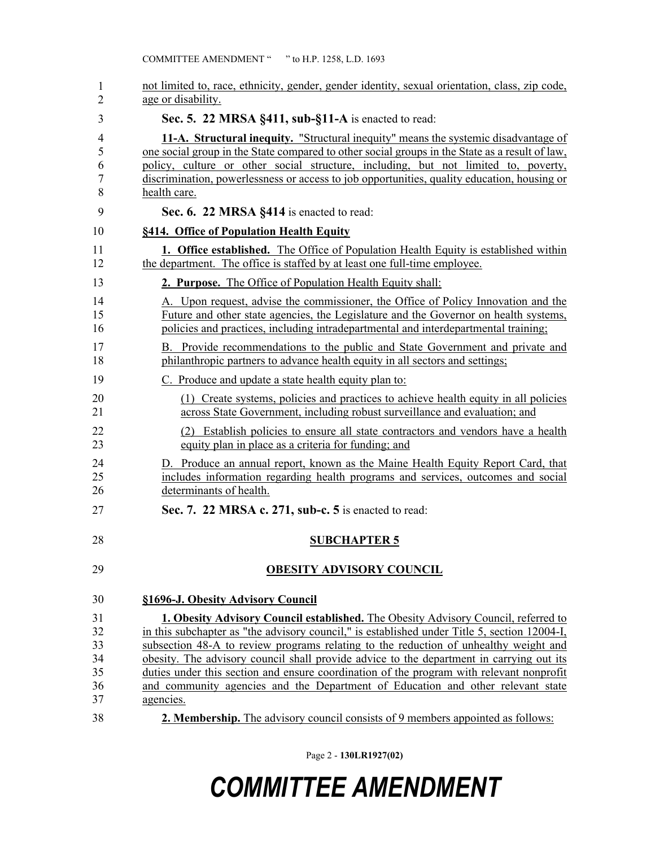| 1<br>$\overline{2}$                    | not limited to, race, ethnicity, gender, gender identity, sexual orientation, class, zip code,<br>age or disability.                                                                                                                                                                                                                                                                                                                                                                                                                                                      |
|----------------------------------------|---------------------------------------------------------------------------------------------------------------------------------------------------------------------------------------------------------------------------------------------------------------------------------------------------------------------------------------------------------------------------------------------------------------------------------------------------------------------------------------------------------------------------------------------------------------------------|
| 3                                      | Sec. 5. 22 MRSA §411, sub-§11-A is enacted to read:                                                                                                                                                                                                                                                                                                                                                                                                                                                                                                                       |
| 4<br>5<br>6<br>7<br>8                  | 11-A. Structural inequity. "Structural inequity" means the systemic disadvantage of<br>one social group in the State compared to other social groups in the State as a result of law,<br>policy, culture or other social structure, including, but not limited to, poverty,<br>discrimination, powerlessness or access to job opportunities, quality education, housing or<br>health care.                                                                                                                                                                                |
| 9                                      | Sec. 6. 22 MRSA §414 is enacted to read:                                                                                                                                                                                                                                                                                                                                                                                                                                                                                                                                  |
| 10                                     | §414. Office of Population Health Equity                                                                                                                                                                                                                                                                                                                                                                                                                                                                                                                                  |
| 11<br>12                               | <b>1. Office established.</b> The Office of Population Health Equity is established within<br>the department. The office is staffed by at least one full-time employee.                                                                                                                                                                                                                                                                                                                                                                                                   |
| 13                                     | <b>2. Purpose.</b> The Office of Population Health Equity shall:                                                                                                                                                                                                                                                                                                                                                                                                                                                                                                          |
| 14<br>15<br>16                         | A. Upon request, advise the commissioner, the Office of Policy Innovation and the<br>Future and other state agencies, the Legislature and the Governor on health systems,<br>policies and practices, including intradepartmental and interdepartmental training;                                                                                                                                                                                                                                                                                                          |
| 17<br>18                               | B. Provide recommendations to the public and State Government and private and<br>philanthropic partners to advance health equity in all sectors and settings;                                                                                                                                                                                                                                                                                                                                                                                                             |
| 19                                     | C. Produce and update a state health equity plan to:                                                                                                                                                                                                                                                                                                                                                                                                                                                                                                                      |
| 20<br>21                               | (1) Create systems, policies and practices to achieve health equity in all policies<br>across State Government, including robust surveillance and evaluation; and                                                                                                                                                                                                                                                                                                                                                                                                         |
| 22<br>23                               | (2) Establish policies to ensure all state contractors and vendors have a health<br>equity plan in place as a criteria for funding; and                                                                                                                                                                                                                                                                                                                                                                                                                                   |
| 24<br>25<br>26                         | D. Produce an annual report, known as the Maine Health Equity Report Card, that<br>includes information regarding health programs and services, outcomes and social<br>determinants of health.                                                                                                                                                                                                                                                                                                                                                                            |
| 27                                     | Sec. 7. 22 MRSA c. 271, sub-c. 5 is enacted to read:                                                                                                                                                                                                                                                                                                                                                                                                                                                                                                                      |
| 28                                     | <b>SUBCHAPTER 5</b>                                                                                                                                                                                                                                                                                                                                                                                                                                                                                                                                                       |
| 29                                     | <b>OBESITY ADVISORY COUNCIL</b>                                                                                                                                                                                                                                                                                                                                                                                                                                                                                                                                           |
| 30                                     | §1696-J. Obesity Advisory Council                                                                                                                                                                                                                                                                                                                                                                                                                                                                                                                                         |
| 31<br>32<br>33<br>34<br>35<br>36<br>37 | <b>1. Obesity Advisory Council established.</b> The Obesity Advisory Council, referred to<br>in this subchapter as "the advisory council," is established under Title 5, section 12004-I,<br>subsection 48-A to review programs relating to the reduction of unhealthy weight and<br>obesity. The advisory council shall provide advice to the department in carrying out its<br>duties under this section and ensure coordination of the program with relevant nonprofit<br>and community agencies and the Department of Education and other relevant state<br>agencies. |
| 38                                     | 2. Membership. The advisory council consists of 9 members appointed as follows:                                                                                                                                                                                                                                                                                                                                                                                                                                                                                           |

Page 2 - **130LR1927(02)**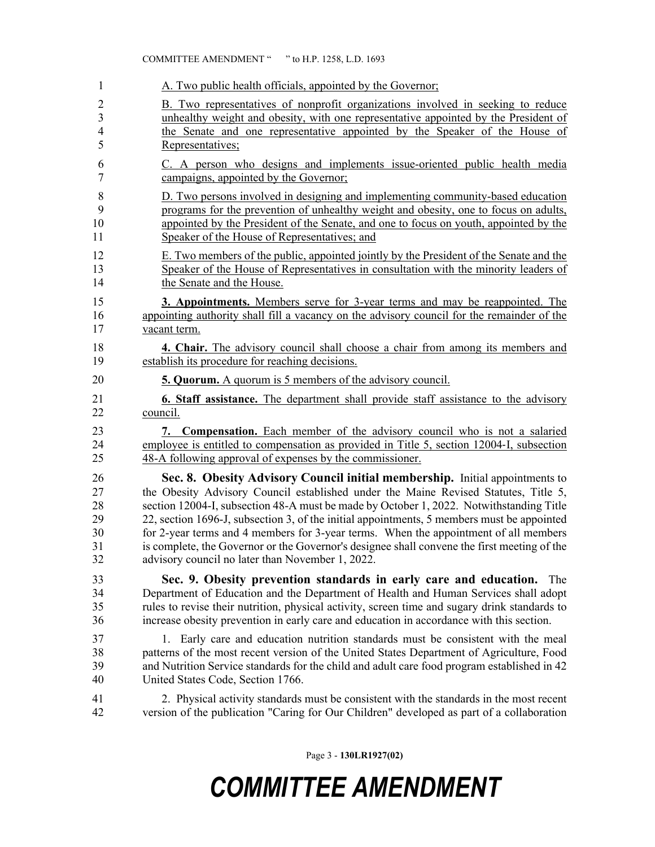| 1                    | A. Two public health officials, appointed by the Governor;                                                                                                                                                                                                                                                                                                   |
|----------------------|--------------------------------------------------------------------------------------------------------------------------------------------------------------------------------------------------------------------------------------------------------------------------------------------------------------------------------------------------------------|
| 2                    | B. Two representatives of nonprofit organizations involved in seeking to reduce                                                                                                                                                                                                                                                                              |
| 3                    | unhealthy weight and obesity, with one representative appointed by the President of                                                                                                                                                                                                                                                                          |
| 4                    | the Senate and one representative appointed by the Speaker of the House of                                                                                                                                                                                                                                                                                   |
| 5                    | Representatives;                                                                                                                                                                                                                                                                                                                                             |
| 6                    | C. A person who designs and implements issue-oriented public health media                                                                                                                                                                                                                                                                                    |
| $\tau$               | campaigns, appointed by the Governor;                                                                                                                                                                                                                                                                                                                        |
| $\,8\,$              | D. Two persons involved in designing and implementing community-based education                                                                                                                                                                                                                                                                              |
| 9                    | programs for the prevention of unhealthy weight and obesity, one to focus on adults,                                                                                                                                                                                                                                                                         |
| 10                   | appointed by the President of the Senate, and one to focus on youth, appointed by the                                                                                                                                                                                                                                                                        |
| 11                   | Speaker of the House of Representatives; and                                                                                                                                                                                                                                                                                                                 |
| 12                   | E. Two members of the public, appointed jointly by the President of the Senate and the                                                                                                                                                                                                                                                                       |
| 13                   | Speaker of the House of Representatives in consultation with the minority leaders of                                                                                                                                                                                                                                                                         |
| 14                   | the Senate and the House.                                                                                                                                                                                                                                                                                                                                    |
| 15                   | <b>3. Appointments.</b> Members serve for 3-year terms and may be reappointed. The                                                                                                                                                                                                                                                                           |
| 16                   | appointing authority shall fill a vacancy on the advisory council for the remainder of the                                                                                                                                                                                                                                                                   |
| 17                   | vacant term.                                                                                                                                                                                                                                                                                                                                                 |
| 18                   | 4. Chair. The advisory council shall choose a chair from among its members and                                                                                                                                                                                                                                                                               |
| 19                   | establish its procedure for reaching decisions.                                                                                                                                                                                                                                                                                                              |
| 20                   | <b>5. Quorum.</b> A quorum is 5 members of the advisory council.                                                                                                                                                                                                                                                                                             |
| 21                   | <b>6. Staff assistance.</b> The department shall provide staff assistance to the advisory                                                                                                                                                                                                                                                                    |
| 22                   | council.                                                                                                                                                                                                                                                                                                                                                     |
| 23                   | 7. Compensation. Each member of the advisory council who is not a salaried                                                                                                                                                                                                                                                                                   |
| 24                   | employee is entitled to compensation as provided in Title 5, section 12004-I, subsection                                                                                                                                                                                                                                                                     |
| 25                   | 48-A following approval of expenses by the commissioner.                                                                                                                                                                                                                                                                                                     |
| 26                   | Sec. 8. Obesity Advisory Council initial membership. Initial appointments to                                                                                                                                                                                                                                                                                 |
| 27                   | the Obesity Advisory Council established under the Maine Revised Statutes, Title 5,                                                                                                                                                                                                                                                                          |
| 28                   | section 12004-I, subsection 48-A must be made by October 1, 2022. Notwithstanding Title                                                                                                                                                                                                                                                                      |
| 29                   | 22, section 1696-J, subsection 3, of the initial appointments, 5 members must be appointed                                                                                                                                                                                                                                                                   |
| 30                   | for 2-year terms and 4 members for 3-year terms. When the appointment of all members                                                                                                                                                                                                                                                                         |
| 31                   | is complete, the Governor or the Governor's designee shall convene the first meeting of the                                                                                                                                                                                                                                                                  |
| 32                   | advisory council no later than November 1, 2022.                                                                                                                                                                                                                                                                                                             |
| 33<br>34<br>35<br>36 | Sec. 9. Obesity prevention standards in early care and education.<br>The<br>Department of Education and the Department of Health and Human Services shall adopt<br>rules to revise their nutrition, physical activity, screen time and sugary drink standards to<br>increase obesity prevention in early care and education in accordance with this section. |
| 37                   | 1. Early care and education nutrition standards must be consistent with the meal                                                                                                                                                                                                                                                                             |
| 38                   | patterns of the most recent version of the United States Department of Agriculture, Food                                                                                                                                                                                                                                                                     |
| 39                   | and Nutrition Service standards for the child and adult care food program established in 42                                                                                                                                                                                                                                                                  |
| 40                   | United States Code, Section 1766.                                                                                                                                                                                                                                                                                                                            |
| 41                   | 2. Physical activity standards must be consistent with the standards in the most recent                                                                                                                                                                                                                                                                      |
| 42                   | version of the publication "Caring for Our Children" developed as part of a collaboration                                                                                                                                                                                                                                                                    |

COMMITTEE AMENDMENT " " to H.P. 1258, L.D. 1693

Page 3 - **130LR1927(02)**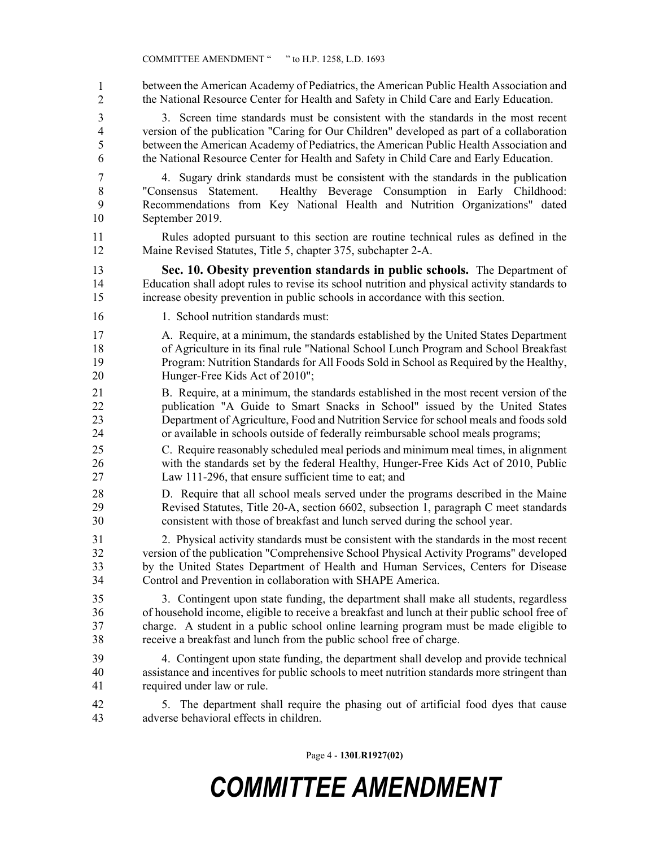43 between the American Academy of Pediatrics, the American Public Health Association and 44 the National Resource Center for Health and Safety in Child Care and Early Education. 1 2

3 3. Screen time standards must be consistent with the standards in the most recent 4 version of the publication "Caring for Our Children" developed as part of a collaboration 5 between the American Academy of Pediatrics, the American Public Health Association and 6 the National Resource Center for Health and Safety in Child Care and Early Education.

7 4. Sugary drink standards must be consistent with the standards in the publication 8 "Consensus Statement. Healthy Beverage Consumption in Early Childhood: 9 Recommendations from Key National Health and Nutrition Organizations" dated 10 September 2019.

- 11 Rules adopted pursuant to this section are routine technical rules as defined in the 12 Maine Revised Statutes, Title 5, chapter 375, subchapter 2-A.
- 13 **Sec. 10. Obesity prevention standards in public schools.** The Department of 14 Education shall adopt rules to revise its school nutrition and physical activity standards to 15 increase obesity prevention in public schools in accordance with this section.
- 16 1. School nutrition standards must:

17 A. Require, at a minimum, the standards established by the United States Department 18 of Agriculture in its final rule "National School Lunch Program and School Breakfast 19 Program: Nutrition Standards for All Foods Sold in School as Required by the Healthy, 20 Hunger-Free Kids Act of 2010";

21 B. Require, at a minimum, the standards established in the most recent version of the 22 publication "A Guide to Smart Snacks in School" issued by the United States 23 Department of Agriculture, Food and Nutrition Service for school meals and foods sold 24 or available in schools outside of federally reimbursable school meals programs;

25 C. Require reasonably scheduled meal periods and minimum meal times, in alignment 26 with the standards set by the federal Healthy, Hunger-Free Kids Act of 2010, Public 27 Law 111-296, that ensure sufficient time to eat; and

28 D. Require that all school meals served under the programs described in the Maine 29 Revised Statutes, Title 20-A, section 6602, subsection 1, paragraph C meet standards 30 consistent with those of breakfast and lunch served during the school year.

31 2. Physical activity standards must be consistent with the standards in the most recent 32 version of the publication "Comprehensive School Physical Activity Programs" developed 33 by the United States Department of Health and Human Services, Centers for Disease 34 Control and Prevention in collaboration with SHAPE America.

35 3. Contingent upon state funding, the department shall make all students, regardless 36 of household income, eligible to receive a breakfast and lunch at their public school free of 37 charge. A student in a public school online learning program must be made eligible to 38 receive a breakfast and lunch from the public school free of charge.

- 39 4. Contingent upon state funding, the department shall develop and provide technical 40 assistance and incentives for public schools to meet nutrition standards more stringent than 41 required under law or rule.
- 42 5. The department shall require the phasing out of artificial food dyes that cause 43 adverse behavioral effects in children.

Page 4 - **130LR1927(02)**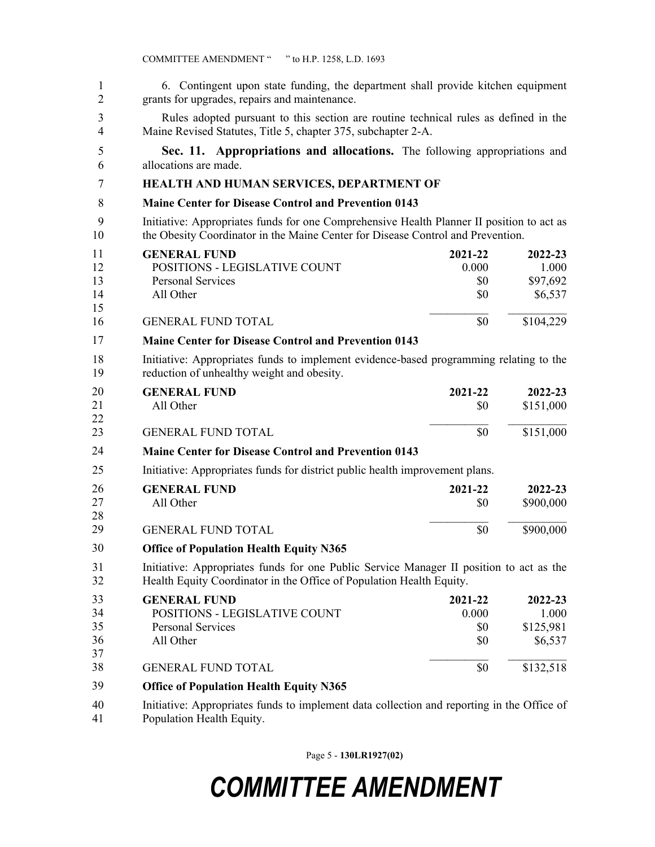| 1<br>$\overline{2}$ | 6. Contingent upon state funding, the department shall provide kitchen equipment<br>grants for upgrades, repairs and maintenance.                                            |           |  |  |  |
|---------------------|------------------------------------------------------------------------------------------------------------------------------------------------------------------------------|-----------|--|--|--|
| 3<br>4              | Rules adopted pursuant to this section are routine technical rules as defined in the<br>Maine Revised Statutes, Title 5, chapter 375, subchapter 2-A.                        |           |  |  |  |
| 5<br>6              | Sec. 11. Appropriations and allocations. The following appropriations and<br>allocations are made.                                                                           |           |  |  |  |
|                     |                                                                                                                                                                              |           |  |  |  |
| 7                   | HEALTH AND HUMAN SERVICES, DEPARTMENT OF                                                                                                                                     |           |  |  |  |
| 8                   | <b>Maine Center for Disease Control and Prevention 0143</b>                                                                                                                  |           |  |  |  |
| 9<br>10             | Initiative: Appropriates funds for one Comprehensive Health Planner II position to act as<br>the Obesity Coordinator in the Maine Center for Disease Control and Prevention. |           |  |  |  |
| 11                  | <b>GENERAL FUND</b><br>2021-22                                                                                                                                               | 2022-23   |  |  |  |
| 12                  | POSITIONS - LEGISLATIVE COUNT<br>0.000                                                                                                                                       | 1.000     |  |  |  |
| 13<br>14            | <b>Personal Services</b><br>\$0<br>All Other                                                                                                                                 | \$97,692  |  |  |  |
| 15                  | \$0                                                                                                                                                                          | \$6,537   |  |  |  |
| 16                  | <b>GENERAL FUND TOTAL</b><br>\$0                                                                                                                                             | \$104,229 |  |  |  |
| 17                  | <b>Maine Center for Disease Control and Prevention 0143</b>                                                                                                                  |           |  |  |  |
| 18<br>19            | Initiative: Appropriates funds to implement evidence-based programming relating to the<br>reduction of unhealthy weight and obesity.                                         |           |  |  |  |
| 20                  | <b>GENERAL FUND</b><br>2021-22                                                                                                                                               | 2022-23   |  |  |  |
| 21<br>22            | All Other<br>\$0                                                                                                                                                             | \$151,000 |  |  |  |
| 23                  | \$0<br><b>GENERAL FUND TOTAL</b>                                                                                                                                             | \$151,000 |  |  |  |
| 24                  | <b>Maine Center for Disease Control and Prevention 0143</b>                                                                                                                  |           |  |  |  |
| 25                  | Initiative: Appropriates funds for district public health improvement plans.                                                                                                 |           |  |  |  |
| 26                  | <b>GENERAL FUND</b><br>2021-22                                                                                                                                               | 2022-23   |  |  |  |
| 27                  | All Other<br>\$0                                                                                                                                                             | \$900,000 |  |  |  |
| 28<br>29            | \$0<br><b>GENERAL FUND TOTAL</b>                                                                                                                                             | \$900,000 |  |  |  |
| 30                  | <b>Office of Population Health Equity N365</b>                                                                                                                               |           |  |  |  |
| 31                  |                                                                                                                                                                              |           |  |  |  |
| 32                  | Initiative: Appropriates funds for one Public Service Manager II position to act as the<br>Health Equity Coordinator in the Office of Population Health Equity.              |           |  |  |  |
| 33                  | <b>GENERAL FUND</b><br>2021-22                                                                                                                                               | 2022-23   |  |  |  |
| 34                  | POSITIONS - LEGISLATIVE COUNT<br>0.000                                                                                                                                       | 1.000     |  |  |  |
| 35                  | Personal Services<br>\$0<br>All Other                                                                                                                                        | \$125,981 |  |  |  |
| 36<br>37            | \$0                                                                                                                                                                          | \$6,537   |  |  |  |
| 38                  | <b>GENERAL FUND TOTAL</b><br>\$0                                                                                                                                             | \$132,518 |  |  |  |
| 39                  | <b>Office of Population Health Equity N365</b>                                                                                                                               |           |  |  |  |
| 40<br>41            | Initiative: Appropriates funds to implement data collection and reporting in the Office of<br>Population Health Equity.                                                      |           |  |  |  |

Page 5 - **130LR1927(02)**